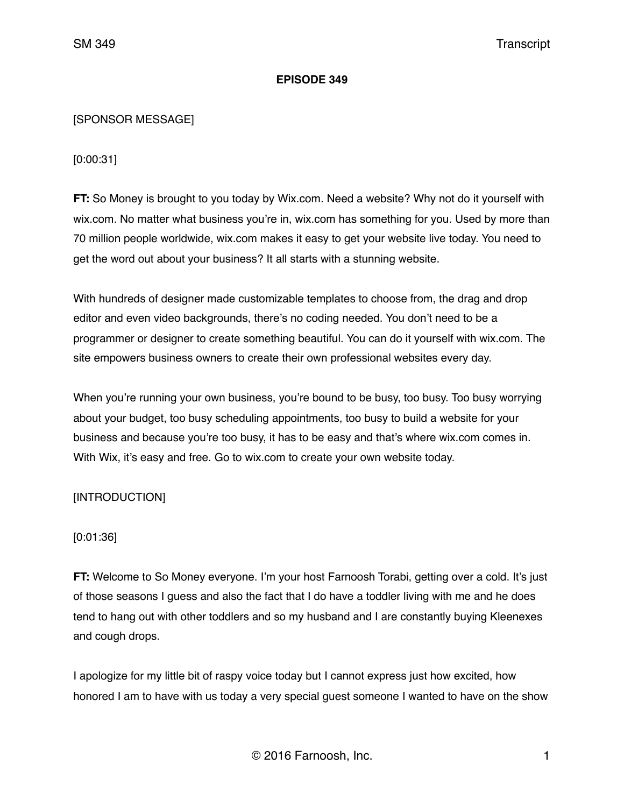### **EPISODE 349**

### [SPONSOR MESSAGE]

[0:00:31]

**FT:** So Money is brought to you today by Wix.com. Need a website? Why not do it yourself with wix.com. No matter what business you're in, wix.com has something for you. Used by more than 70 million people worldwide, wix.com makes it easy to get your website live today. You need to get the word out about your business? It all starts with a stunning website.

With hundreds of designer made customizable templates to choose from, the drag and drop editor and even video backgrounds, there's no coding needed. You don't need to be a programmer or designer to create something beautiful. You can do it yourself with wix.com. The site empowers business owners to create their own professional websites every day.

When you're running your own business, you're bound to be busy, too busy. Too busy worrying about your budget, too busy scheduling appointments, too busy to build a website for your business and because you're too busy, it has to be easy and that's where wix.com comes in. With Wix, it's easy and free. Go to wix.com to create your own website today.

# [INTRODUCTION]

### [0:01:36]

**FT:** Welcome to So Money everyone. I'm your host Farnoosh Torabi, getting over a cold. It's just of those seasons I guess and also the fact that I do have a toddler living with me and he does tend to hang out with other toddlers and so my husband and I are constantly buying Kleenexes and cough drops.

I apologize for my little bit of raspy voice today but I cannot express just how excited, how honored I am to have with us today a very special guest someone I wanted to have on the show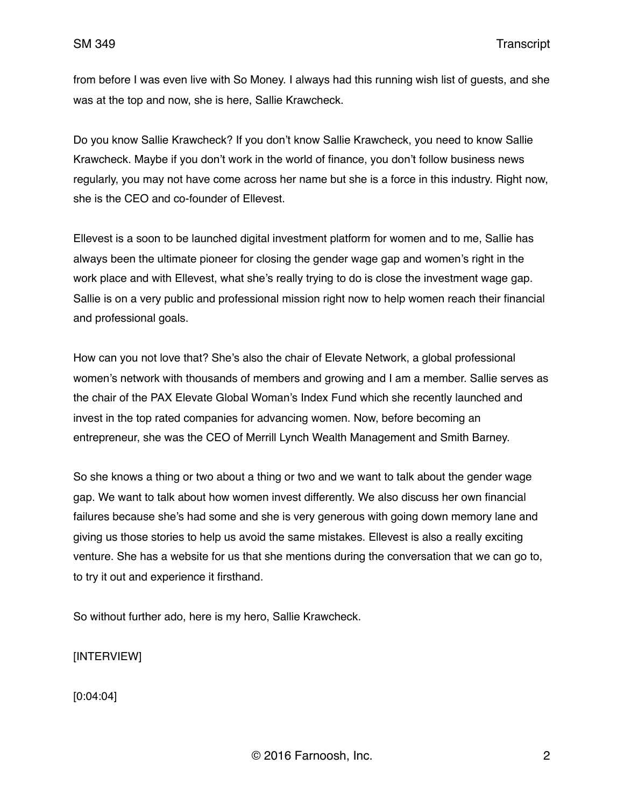from before I was even live with So Money. I always had this running wish list of guests, and she was at the top and now, she is here, Sallie Krawcheck.

Do you know Sallie Krawcheck? If you don't know Sallie Krawcheck, you need to know Sallie Krawcheck. Maybe if you don't work in the world of finance, you don't follow business news regularly, you may not have come across her name but she is a force in this industry. Right now, she is the CEO and co-founder of Ellevest.

Ellevest is a soon to be launched digital investment platform for women and to me, Sallie has always been the ultimate pioneer for closing the gender wage gap and women's right in the work place and with Ellevest, what she's really trying to do is close the investment wage gap. Sallie is on a very public and professional mission right now to help women reach their financial and professional goals.

How can you not love that? She's also the chair of Elevate Network, a global professional women's network with thousands of members and growing and I am a member. Sallie serves as the chair of the PAX Elevate Global Woman's Index Fund which she recently launched and invest in the top rated companies for advancing women. Now, before becoming an entrepreneur, she was the CEO of Merrill Lynch Wealth Management and Smith Barney.

So she knows a thing or two about a thing or two and we want to talk about the gender wage gap. We want to talk about how women invest differently. We also discuss her own financial failures because she's had some and she is very generous with going down memory lane and giving us those stories to help us avoid the same mistakes. Ellevest is also a really exciting venture. She has a website for us that she mentions during the conversation that we can go to, to try it out and experience it firsthand.

So without further ado, here is my hero, Sallie Krawcheck.

[INTERVIEW]

[0:04:04]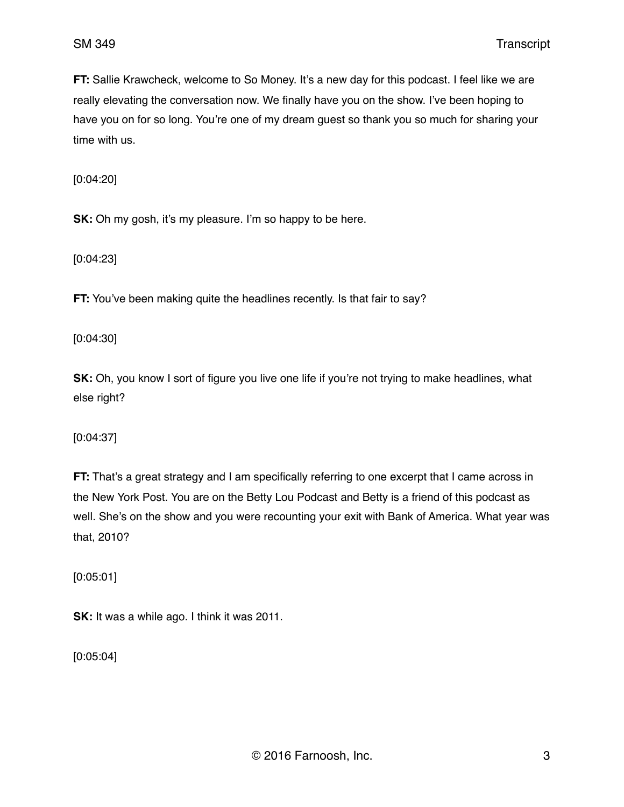**FT:** Sallie Krawcheck, welcome to So Money. It's a new day for this podcast. I feel like we are really elevating the conversation now. We finally have you on the show. I've been hoping to have you on for so long. You're one of my dream guest so thank you so much for sharing your time with us.

[0:04:20]

**SK:** Oh my gosh, it's my pleasure. I'm so happy to be here.

[0:04:23]

**FT:** You've been making quite the headlines recently. Is that fair to say?

[0:04:30]

**SK:** Oh, you know I sort of figure you live one life if you're not trying to make headlines, what else right?

[0:04:37]

**FT:** That's a great strategy and I am specifically referring to one excerpt that I came across in the New York Post. You are on the Betty Lou Podcast and Betty is a friend of this podcast as well. She's on the show and you were recounting your exit with Bank of America. What year was that, 2010?

[0:05:01]

**SK:** It was a while ago. I think it was 2011.

[0:05:04]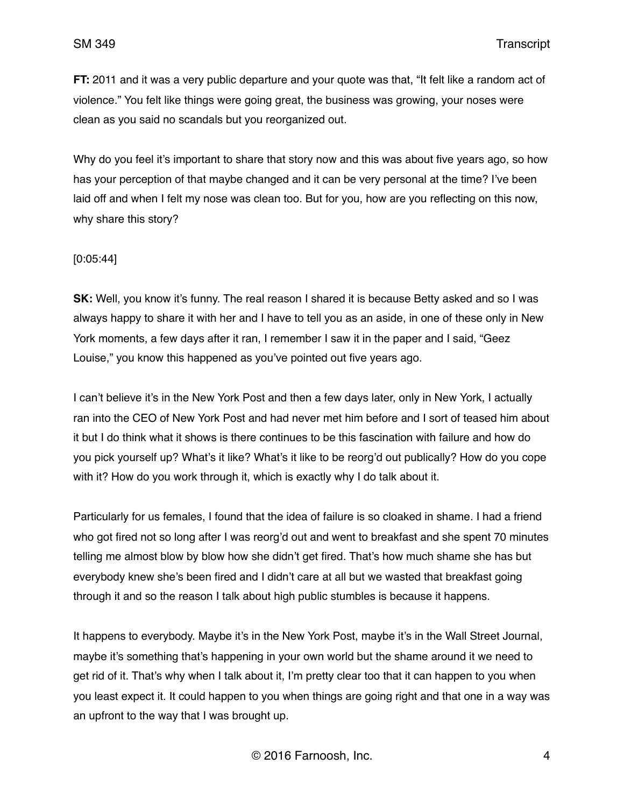**FT:** 2011 and it was a very public departure and your quote was that, "It felt like a random act of violence." You felt like things were going great, the business was growing, your noses were clean as you said no scandals but you reorganized out.

Why do you feel it's important to share that story now and this was about five years ago, so how has your perception of that maybe changed and it can be very personal at the time? I've been laid off and when I felt my nose was clean too. But for you, how are you reflecting on this now, why share this story?

#### [0:05:44]

**SK:** Well, you know it's funny. The real reason I shared it is because Betty asked and so I was always happy to share it with her and I have to tell you as an aside, in one of these only in New York moments, a few days after it ran, I remember I saw it in the paper and I said, "Geez Louise," you know this happened as you've pointed out five years ago.

I can't believe it's in the New York Post and then a few days later, only in New York, I actually ran into the CEO of New York Post and had never met him before and I sort of teased him about it but I do think what it shows is there continues to be this fascination with failure and how do you pick yourself up? What's it like? What's it like to be reorg'd out publically? How do you cope with it? How do you work through it, which is exactly why I do talk about it.

Particularly for us females, I found that the idea of failure is so cloaked in shame. I had a friend who got fired not so long after I was reorg'd out and went to breakfast and she spent 70 minutes telling me almost blow by blow how she didn't get fired. That's how much shame she has but everybody knew she's been fired and I didn't care at all but we wasted that breakfast going through it and so the reason I talk about high public stumbles is because it happens.

It happens to everybody. Maybe it's in the New York Post, maybe it's in the Wall Street Journal, maybe it's something that's happening in your own world but the shame around it we need to get rid of it. That's why when I talk about it, I'm pretty clear too that it can happen to you when you least expect it. It could happen to you when things are going right and that one in a way was an upfront to the way that I was brought up.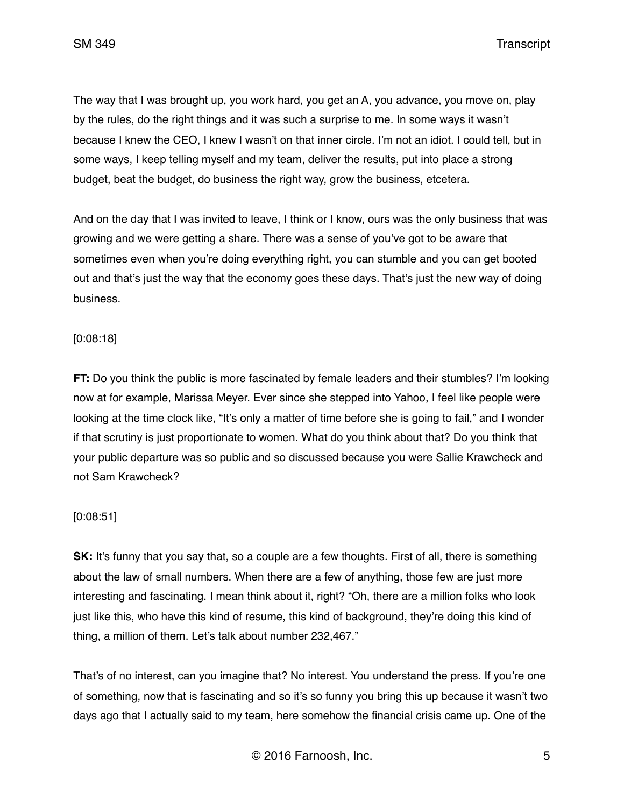SM 349 Transcript

The way that I was brought up, you work hard, you get an A, you advance, you move on, play by the rules, do the right things and it was such a surprise to me. In some ways it wasn't because I knew the CEO, I knew I wasn't on that inner circle. I'm not an idiot. I could tell, but in some ways, I keep telling myself and my team, deliver the results, put into place a strong budget, beat the budget, do business the right way, grow the business, etcetera.

And on the day that I was invited to leave, I think or I know, ours was the only business that was growing and we were getting a share. There was a sense of you've got to be aware that sometimes even when you're doing everything right, you can stumble and you can get booted out and that's just the way that the economy goes these days. That's just the new way of doing business.

### [0:08:18]

**FT:** Do you think the public is more fascinated by female leaders and their stumbles? I'm looking now at for example, Marissa Meyer. Ever since she stepped into Yahoo, I feel like people were looking at the time clock like, "It's only a matter of time before she is going to fail," and I wonder if that scrutiny is just proportionate to women. What do you think about that? Do you think that your public departure was so public and so discussed because you were Sallie Krawcheck and not Sam Krawcheck?

# [0:08:51]

**SK:** It's funny that you say that, so a couple are a few thoughts. First of all, there is something about the law of small numbers. When there are a few of anything, those few are just more interesting and fascinating. I mean think about it, right? "Oh, there are a million folks who look just like this, who have this kind of resume, this kind of background, they're doing this kind of thing, a million of them. Let's talk about number 232,467."

That's of no interest, can you imagine that? No interest. You understand the press. If you're one of something, now that is fascinating and so it's so funny you bring this up because it wasn't two days ago that I actually said to my team, here somehow the financial crisis came up. One of the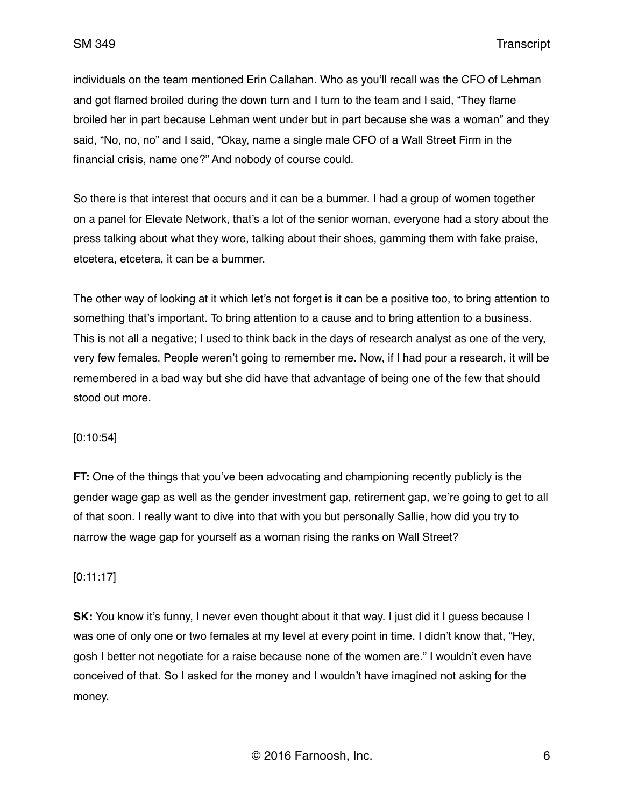individuals on the team mentioned Erin Callahan. Who as you'll recall was the CFO of Lehman and got flamed broiled during the down turn and I turn to the team and I said, "They flame broiled her in part because Lehman went under but in part because she was a woman" and they said, "No, no, no" and I said, "Okay, name a single male CFO of a Wall Street Firm in the financial crisis, name one?" And nobody of course could.

So there is that interest that occurs and it can be a bummer. I had a group of women together on a panel for Elevate Network, that's a lot of the senior woman, everyone had a story about the press talking about what they wore, talking about their shoes, gamming them with fake praise, etcetera, etcetera, it can be a bummer.

The other way of looking at it which let's not forget is it can be a positive too, to bring attention to something that's important. To bring attention to a cause and to bring attention to a business. This is not all a negative; I used to think back in the days of research analyst as one of the very, very few females. People weren't going to remember me. Now, if I had pour a research, it will be remembered in a bad way but she did have that advantage of being one of the few that should stood out more.

# [0:10:54]

**FT:** One of the things that you've been advocating and championing recently publicly is the gender wage gap as well as the gender investment gap, retirement gap, we're going to get to all of that soon. I really want to dive into that with you but personally Sallie, how did you try to narrow the wage gap for yourself as a woman rising the ranks on Wall Street?

# [0:11:17]

**SK:** You know it's funny, I never even thought about it that way. I just did it I guess because I was one of only one or two females at my level at every point in time. I didn't know that, "Hey, gosh I better not negotiate for a raise because none of the women are." I wouldn't even have conceived of that. So I asked for the money and I wouldn't have imagined not asking for the money.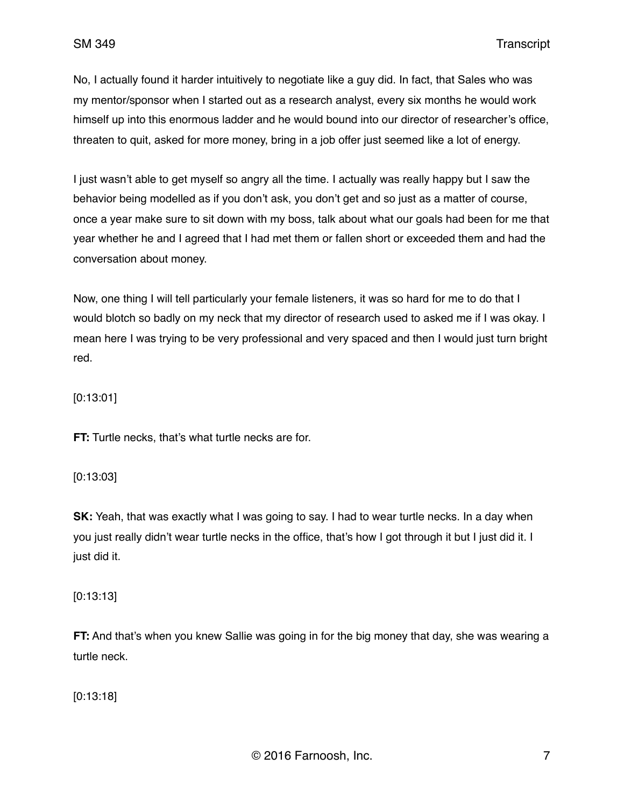No, I actually found it harder intuitively to negotiate like a guy did. In fact, that Sales who was my mentor/sponsor when I started out as a research analyst, every six months he would work himself up into this enormous ladder and he would bound into our director of researcher's office, threaten to quit, asked for more money, bring in a job offer just seemed like a lot of energy.

I just wasn't able to get myself so angry all the time. I actually was really happy but I saw the behavior being modelled as if you don't ask, you don't get and so just as a matter of course, once a year make sure to sit down with my boss, talk about what our goals had been for me that year whether he and I agreed that I had met them or fallen short or exceeded them and had the conversation about money.

Now, one thing I will tell particularly your female listeners, it was so hard for me to do that I would blotch so badly on my neck that my director of research used to asked me if I was okay. I mean here I was trying to be very professional and very spaced and then I would just turn bright red.

[0:13:01]

**FT:** Turtle necks, that's what turtle necks are for.

[0:13:03]

**SK:** Yeah, that was exactly what I was going to say. I had to wear turtle necks. In a day when you just really didn't wear turtle necks in the office, that's how I got through it but I just did it. I just did it.

[0:13:13]

**FT:** And that's when you knew Sallie was going in for the big money that day, she was wearing a turtle neck.

[0:13:18]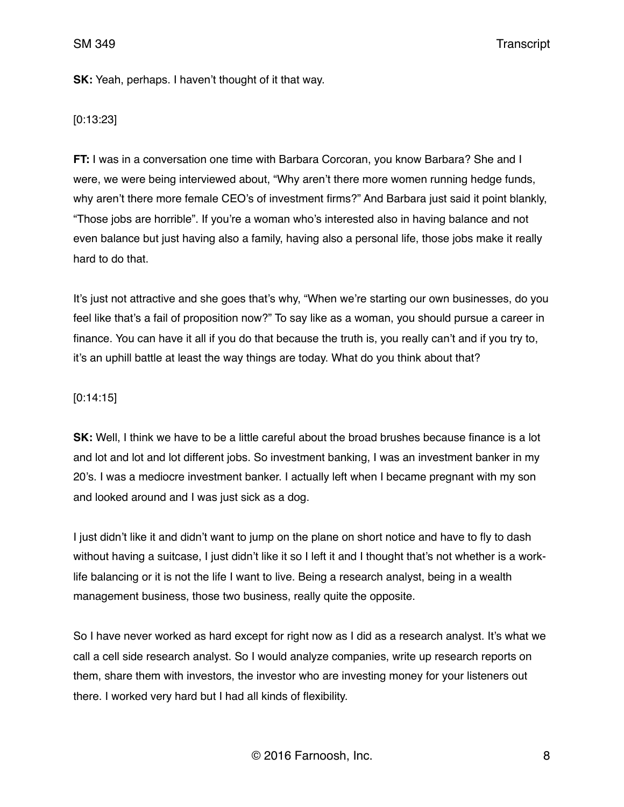**SK:** Yeah, perhaps. I haven't thought of it that way.

#### [0:13:23]

**FT:** I was in a conversation one time with Barbara Corcoran, you know Barbara? She and I were, we were being interviewed about, "Why aren't there more women running hedge funds, why aren't there more female CEO's of investment firms?" And Barbara just said it point blankly, "Those jobs are horrible". If you're a woman who's interested also in having balance and not even balance but just having also a family, having also a personal life, those jobs make it really hard to do that.

It's just not attractive and she goes that's why, "When we're starting our own businesses, do you feel like that's a fail of proposition now?" To say like as a woman, you should pursue a career in finance. You can have it all if you do that because the truth is, you really can't and if you try to, it's an uphill battle at least the way things are today. What do you think about that?

#### [0:14:15]

**SK:** Well, I think we have to be a little careful about the broad brushes because finance is a lot and lot and lot and lot different jobs. So investment banking, I was an investment banker in my 20's. I was a mediocre investment banker. I actually left when I became pregnant with my son and looked around and I was just sick as a dog.

I just didn't like it and didn't want to jump on the plane on short notice and have to fly to dash without having a suitcase, I just didn't like it so I left it and I thought that's not whether is a worklife balancing or it is not the life I want to live. Being a research analyst, being in a wealth management business, those two business, really quite the opposite.

So I have never worked as hard except for right now as I did as a research analyst. It's what we call a cell side research analyst. So I would analyze companies, write up research reports on them, share them with investors, the investor who are investing money for your listeners out there. I worked very hard but I had all kinds of flexibility.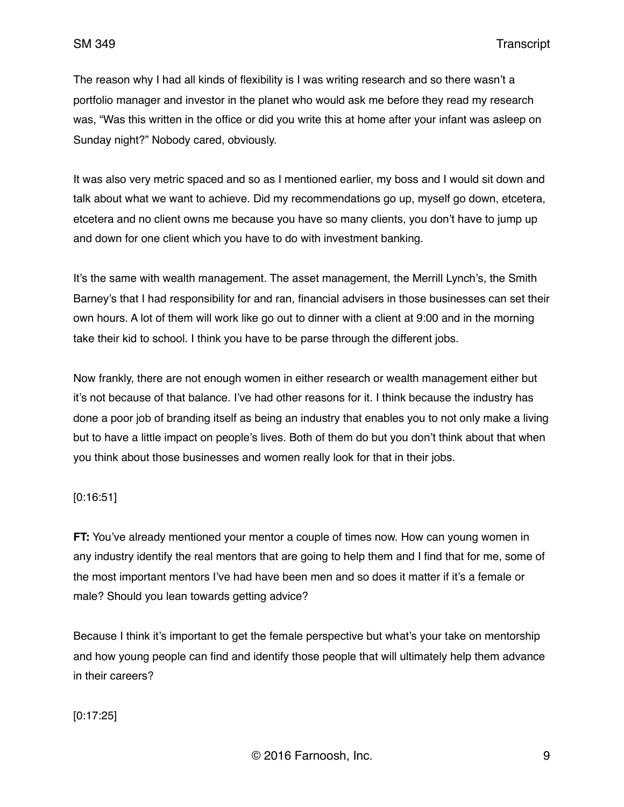The reason why I had all kinds of flexibility is I was writing research and so there wasn't a portfolio manager and investor in the planet who would ask me before they read my research was, "Was this written in the office or did you write this at home after your infant was asleep on Sunday night?" Nobody cared, obviously.

It was also very metric spaced and so as I mentioned earlier, my boss and I would sit down and talk about what we want to achieve. Did my recommendations go up, myself go down, etcetera, etcetera and no client owns me because you have so many clients, you don't have to jump up and down for one client which you have to do with investment banking.

It's the same with wealth management. The asset management, the Merrill Lynch's, the Smith Barney's that I had responsibility for and ran, financial advisers in those businesses can set their own hours. A lot of them will work like go out to dinner with a client at 9:00 and in the morning take their kid to school. I think you have to be parse through the different jobs.

Now frankly, there are not enough women in either research or wealth management either but it's not because of that balance. I've had other reasons for it. I think because the industry has done a poor job of branding itself as being an industry that enables you to not only make a living but to have a little impact on people's lives. Both of them do but you don't think about that when you think about those businesses and women really look for that in their jobs.

# [0:16:51]

**FT:** You've already mentioned your mentor a couple of times now. How can young women in any industry identify the real mentors that are going to help them and I find that for me, some of the most important mentors I've had have been men and so does it matter if it's a female or male? Should you lean towards getting advice?

Because I think it's important to get the female perspective but what's your take on mentorship and how young people can find and identify those people that will ultimately help them advance in their careers?

[0:17:25]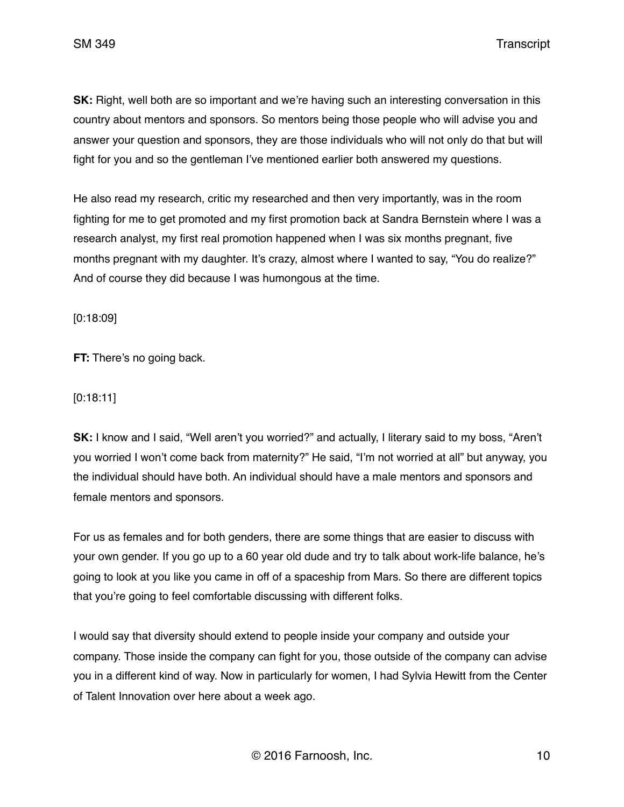**SK:** Right, well both are so important and we're having such an interesting conversation in this country about mentors and sponsors. So mentors being those people who will advise you and answer your question and sponsors, they are those individuals who will not only do that but will fight for you and so the gentleman I've mentioned earlier both answered my questions.

He also read my research, critic my researched and then very importantly, was in the room fighting for me to get promoted and my first promotion back at Sandra Bernstein where I was a research analyst, my first real promotion happened when I was six months pregnant, five months pregnant with my daughter. It's crazy, almost where I wanted to say, "You do realize?" And of course they did because I was humongous at the time.

[0:18:09]

**FT:** There's no going back.

### [0:18:11]

**SK:** I know and I said, "Well aren't you worried?" and actually, I literary said to my boss, "Aren't you worried I won't come back from maternity?" He said, "I'm not worried at all" but anyway, you the individual should have both. An individual should have a male mentors and sponsors and female mentors and sponsors.

For us as females and for both genders, there are some things that are easier to discuss with your own gender. If you go up to a 60 year old dude and try to talk about work-life balance, he's going to look at you like you came in off of a spaceship from Mars. So there are different topics that you're going to feel comfortable discussing with different folks.

I would say that diversity should extend to people inside your company and outside your company. Those inside the company can fight for you, those outside of the company can advise you in a different kind of way. Now in particularly for women, I had Sylvia Hewitt from the Center of Talent Innovation over here about a week ago.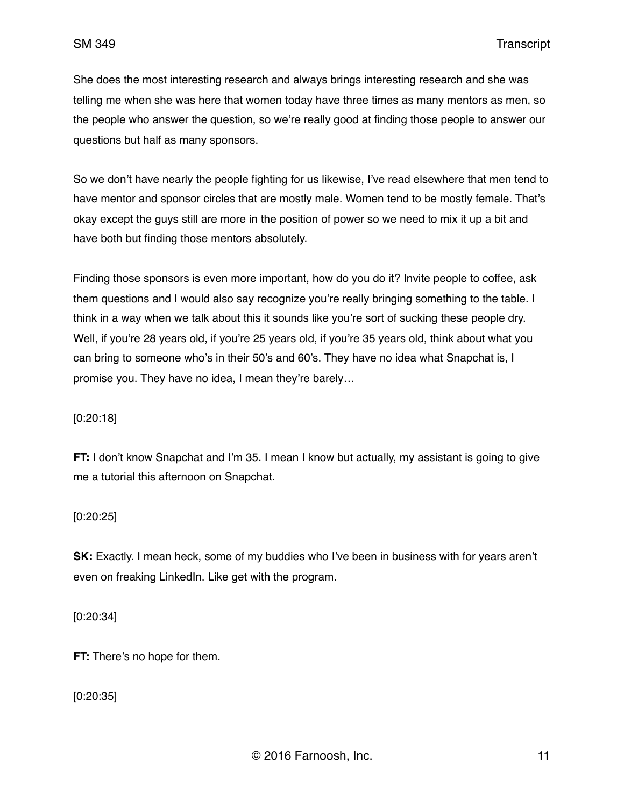She does the most interesting research and always brings interesting research and she was telling me when she was here that women today have three times as many mentors as men, so the people who answer the question, so we're really good at finding those people to answer our questions but half as many sponsors.

So we don't have nearly the people fighting for us likewise, I've read elsewhere that men tend to have mentor and sponsor circles that are mostly male. Women tend to be mostly female. That's okay except the guys still are more in the position of power so we need to mix it up a bit and have both but finding those mentors absolutely.

Finding those sponsors is even more important, how do you do it? Invite people to coffee, ask them questions and I would also say recognize you're really bringing something to the table. I think in a way when we talk about this it sounds like you're sort of sucking these people dry. Well, if you're 28 years old, if you're 25 years old, if you're 35 years old, think about what you can bring to someone who's in their 50's and 60's. They have no idea what Snapchat is, I promise you. They have no idea, I mean they're barely…

[0:20:18]

**FT:** I don't know Snapchat and I'm 35. I mean I know but actually, my assistant is going to give me a tutorial this afternoon on Snapchat.

[0:20:25]

**SK:** Exactly. I mean heck, some of my buddies who I've been in business with for years aren't even on freaking LinkedIn. Like get with the program.

[0:20:34]

**FT:** There's no hope for them.

[0:20:35]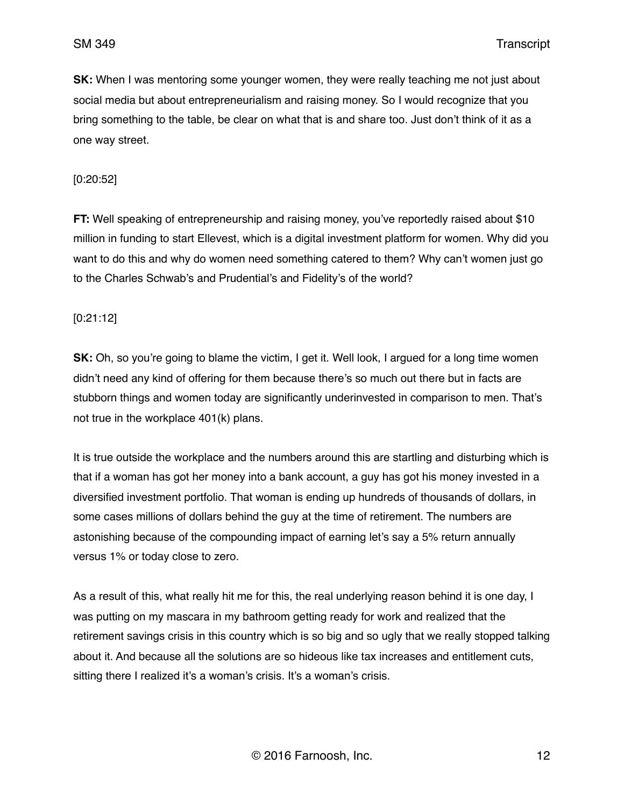**SK:** When I was mentoring some younger women, they were really teaching me not just about social media but about entrepreneurialism and raising money. So I would recognize that you bring something to the table, be clear on what that is and share too. Just don't think of it as a one way street.

### [0:20:52]

**FT:** Well speaking of entrepreneurship and raising money, you've reportedly raised about \$10 million in funding to start Ellevest, which is a digital investment platform for women. Why did you want to do this and why do women need something catered to them? Why can't women just go to the Charles Schwab's and Prudential's and Fidelity's of the world?

[0:21:12]

**SK:** Oh, so you're going to blame the victim, I get it. Well look, I argued for a long time women didn't need any kind of offering for them because there's so much out there but in facts are stubborn things and women today are significantly underinvested in comparison to men. That's not true in the workplace 401(k) plans.

It is true outside the workplace and the numbers around this are startling and disturbing which is that if a woman has got her money into a bank account, a guy has got his money invested in a diversified investment portfolio. That woman is ending up hundreds of thousands of dollars, in some cases millions of dollars behind the guy at the time of retirement. The numbers are astonishing because of the compounding impact of earning let's say a 5% return annually versus 1% or today close to zero.

As a result of this, what really hit me for this, the real underlying reason behind it is one day, I was putting on my mascara in my bathroom getting ready for work and realized that the retirement savings crisis in this country which is so big and so ugly that we really stopped talking about it. And because all the solutions are so hideous like tax increases and entitlement cuts, sitting there I realized it's a woman's crisis. It's a woman's crisis.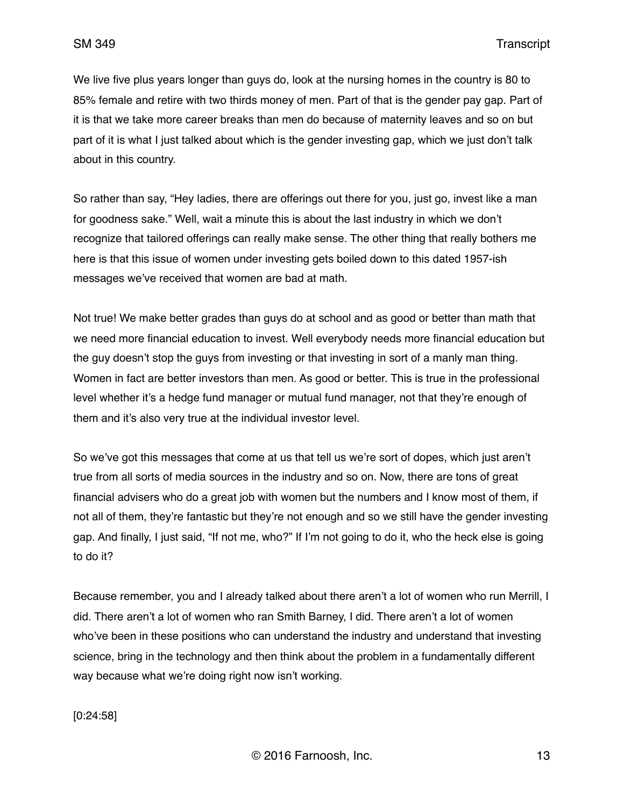We live five plus years longer than guys do, look at the nursing homes in the country is 80 to 85% female and retire with two thirds money of men. Part of that is the gender pay gap. Part of it is that we take more career breaks than men do because of maternity leaves and so on but part of it is what I just talked about which is the gender investing gap, which we just don't talk about in this country.

So rather than say, "Hey ladies, there are offerings out there for you, just go, invest like a man for goodness sake." Well, wait a minute this is about the last industry in which we don't recognize that tailored offerings can really make sense. The other thing that really bothers me here is that this issue of women under investing gets boiled down to this dated 1957-ish messages we've received that women are bad at math.

Not true! We make better grades than guys do at school and as good or better than math that we need more financial education to invest. Well everybody needs more financial education but the guy doesn't stop the guys from investing or that investing in sort of a manly man thing. Women in fact are better investors than men. As good or better. This is true in the professional level whether it's a hedge fund manager or mutual fund manager, not that they're enough of them and it's also very true at the individual investor level.

So we've got this messages that come at us that tell us we're sort of dopes, which just aren't true from all sorts of media sources in the industry and so on. Now, there are tons of great financial advisers who do a great job with women but the numbers and I know most of them, if not all of them, they're fantastic but they're not enough and so we still have the gender investing gap. And finally, I just said, "If not me, who?" If I'm not going to do it, who the heck else is going to do it?

Because remember, you and I already talked about there aren't a lot of women who run Merrill, I did. There aren't a lot of women who ran Smith Barney, I did. There aren't a lot of women who've been in these positions who can understand the industry and understand that investing science, bring in the technology and then think about the problem in a fundamentally different way because what we're doing right now isn't working.

[0:24:58]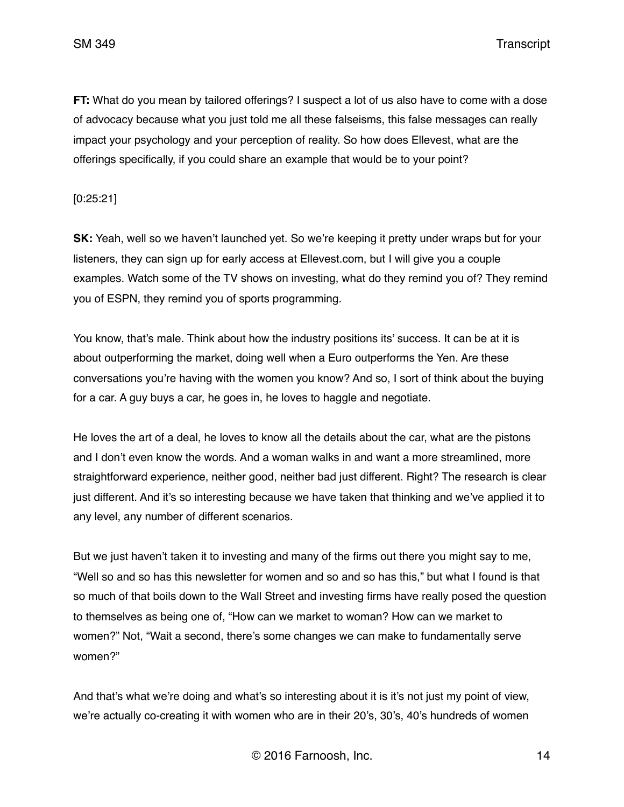SM 349 Transcript

**FT:** What do you mean by tailored offerings? I suspect a lot of us also have to come with a dose of advocacy because what you just told me all these falseisms, this false messages can really impact your psychology and your perception of reality. So how does Ellevest, what are the offerings specifically, if you could share an example that would be to your point?

[0:25:21]

**SK:** Yeah, well so we haven't launched yet. So we're keeping it pretty under wraps but for your listeners, they can sign up for early access at Ellevest.com, but I will give you a couple examples. Watch some of the TV shows on investing, what do they remind you of? They remind you of ESPN, they remind you of sports programming.

You know, that's male. Think about how the industry positions its' success. It can be at it is about outperforming the market, doing well when a Euro outperforms the Yen. Are these conversations you're having with the women you know? And so, I sort of think about the buying for a car. A guy buys a car, he goes in, he loves to haggle and negotiate.

He loves the art of a deal, he loves to know all the details about the car, what are the pistons and I don't even know the words. And a woman walks in and want a more streamlined, more straightforward experience, neither good, neither bad just different. Right? The research is clear just different. And it's so interesting because we have taken that thinking and we've applied it to any level, any number of different scenarios.

But we just haven't taken it to investing and many of the firms out there you might say to me, "Well so and so has this newsletter for women and so and so has this," but what I found is that so much of that boils down to the Wall Street and investing firms have really posed the question to themselves as being one of, "How can we market to woman? How can we market to women?" Not, "Wait a second, there's some changes we can make to fundamentally serve women?"

And that's what we're doing and what's so interesting about it is it's not just my point of view, we're actually co-creating it with women who are in their 20's, 30's, 40's hundreds of women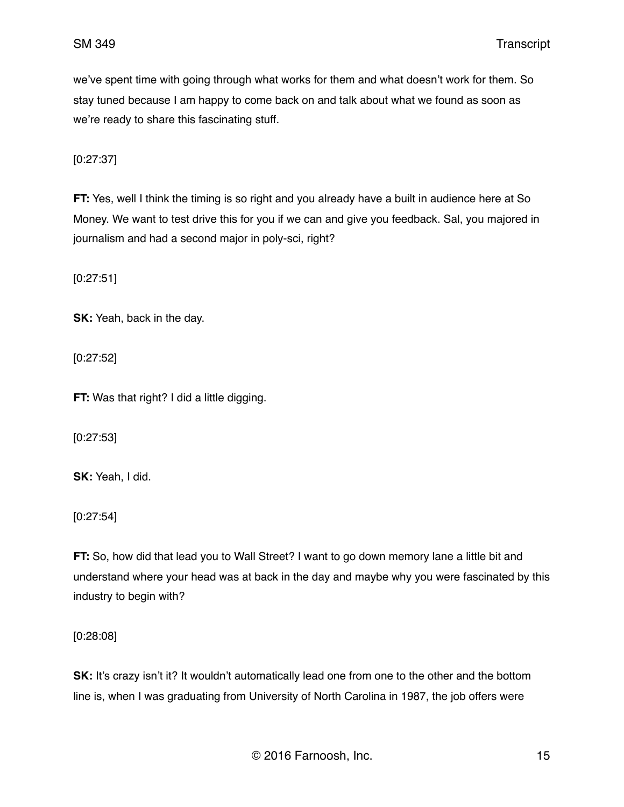we've spent time with going through what works for them and what doesn't work for them. So stay tuned because I am happy to come back on and talk about what we found as soon as we're ready to share this fascinating stuff.

[0:27:37]

**FT:** Yes, well I think the timing is so right and you already have a built in audience here at So Money. We want to test drive this for you if we can and give you feedback. Sal, you majored in journalism and had a second major in poly-sci, right?

[0:27:51]

**SK:** Yeah, back in the day.

[0:27:52]

**FT:** Was that right? I did a little digging.

[0:27:53]

**SK:** Yeah, I did.

[0:27:54]

**FT:** So, how did that lead you to Wall Street? I want to go down memory lane a little bit and understand where your head was at back in the day and maybe why you were fascinated by this industry to begin with?

[0:28:08]

**SK:** It's crazy isn't it? It wouldn't automatically lead one from one to the other and the bottom line is, when I was graduating from University of North Carolina in 1987, the job offers were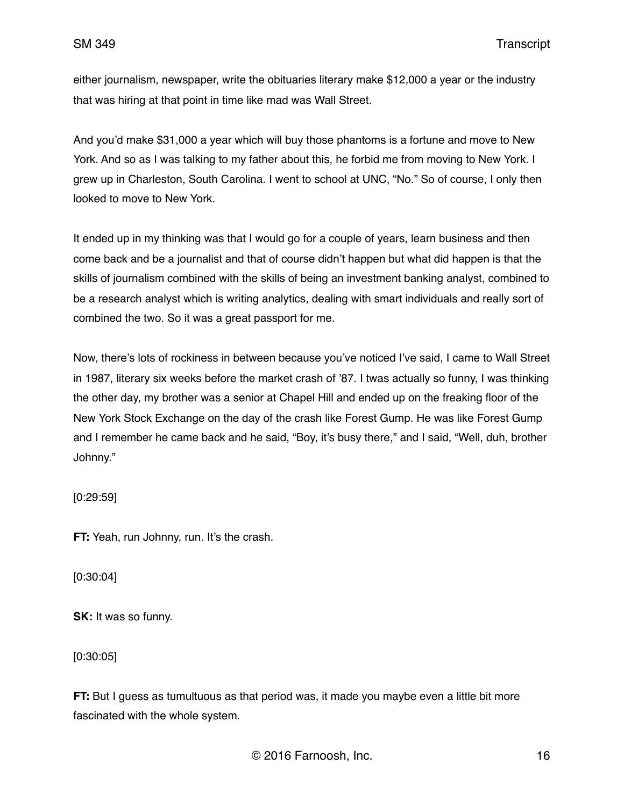either journalism, newspaper, write the obituaries literary make \$12,000 a year or the industry that was hiring at that point in time like mad was Wall Street.

And you'd make \$31,000 a year which will buy those phantoms is a fortune and move to New York. And so as I was talking to my father about this, he forbid me from moving to New York. I grew up in Charleston, South Carolina. I went to school at UNC, "No." So of course, I only then looked to move to New York.

It ended up in my thinking was that I would go for a couple of years, learn business and then come back and be a journalist and that of course didn't happen but what did happen is that the skills of journalism combined with the skills of being an investment banking analyst, combined to be a research analyst which is writing analytics, dealing with smart individuals and really sort of combined the two. So it was a great passport for me.

Now, there's lots of rockiness in between because you've noticed I've said, I came to Wall Street in 1987, literary six weeks before the market crash of '87. I twas actually so funny, I was thinking the other day, my brother was a senior at Chapel Hill and ended up on the freaking floor of the New York Stock Exchange on the day of the crash like Forest Gump. He was like Forest Gump and I remember he came back and he said, "Boy, it's busy there," and I said, "Well, duh, brother Johnny."

[0:29:59]

**FT:** Yeah, run Johnny, run. It's the crash.

[0:30:04]

**SK:** It was so funny.

[0:30:05]

**FT:** But I guess as tumultuous as that period was, it made you maybe even a little bit more fascinated with the whole system.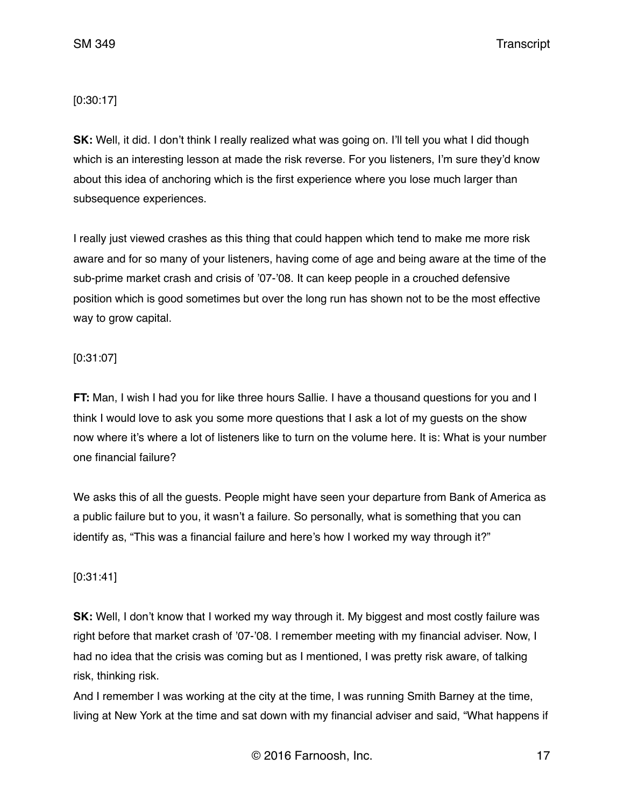SM 349 Transcript

[0:30:17]

**SK:** Well, it did. I don't think I really realized what was going on. I'll tell you what I did though which is an interesting lesson at made the risk reverse. For you listeners, I'm sure they'd know about this idea of anchoring which is the first experience where you lose much larger than subsequence experiences.

I really just viewed crashes as this thing that could happen which tend to make me more risk aware and for so many of your listeners, having come of age and being aware at the time of the sub-prime market crash and crisis of '07-'08. It can keep people in a crouched defensive position which is good sometimes but over the long run has shown not to be the most effective way to grow capital.

### [0:31:07]

**FT:** Man, I wish I had you for like three hours Sallie. I have a thousand questions for you and I think I would love to ask you some more questions that I ask a lot of my guests on the show now where it's where a lot of listeners like to turn on the volume here. It is: What is your number one financial failure?

We asks this of all the guests. People might have seen your departure from Bank of America as a public failure but to you, it wasn't a failure. So personally, what is something that you can identify as, "This was a financial failure and here's how I worked my way through it?"

# [0:31:41]

**SK:** Well, I don't know that I worked my way through it. My biggest and most costly failure was right before that market crash of '07-'08. I remember meeting with my financial adviser. Now, I had no idea that the crisis was coming but as I mentioned, I was pretty risk aware, of talking risk, thinking risk.

And I remember I was working at the city at the time, I was running Smith Barney at the time, living at New York at the time and sat down with my financial adviser and said, "What happens if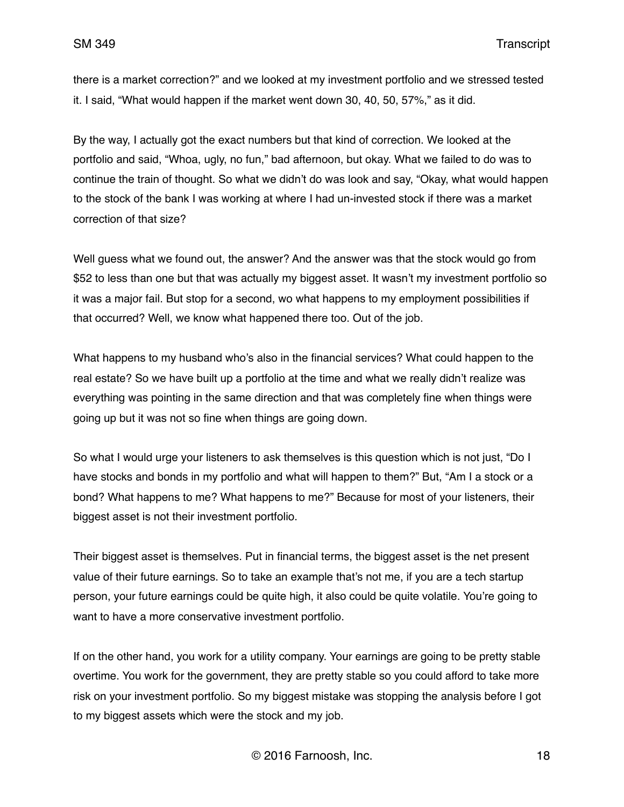there is a market correction?" and we looked at my investment portfolio and we stressed tested it. I said, "What would happen if the market went down 30, 40, 50, 57%," as it did.

By the way, I actually got the exact numbers but that kind of correction. We looked at the portfolio and said, "Whoa, ugly, no fun," bad afternoon, but okay. What we failed to do was to continue the train of thought. So what we didn't do was look and say, "Okay, what would happen to the stock of the bank I was working at where I had un-invested stock if there was a market correction of that size?

Well guess what we found out, the answer? And the answer was that the stock would go from \$52 to less than one but that was actually my biggest asset. It wasn't my investment portfolio so it was a major fail. But stop for a second, wo what happens to my employment possibilities if that occurred? Well, we know what happened there too. Out of the job.

What happens to my husband who's also in the financial services? What could happen to the real estate? So we have built up a portfolio at the time and what we really didn't realize was everything was pointing in the same direction and that was completely fine when things were going up but it was not so fine when things are going down.

So what I would urge your listeners to ask themselves is this question which is not just, "Do I have stocks and bonds in my portfolio and what will happen to them?" But, "Am I a stock or a bond? What happens to me? What happens to me?" Because for most of your listeners, their biggest asset is not their investment portfolio.

Their biggest asset is themselves. Put in financial terms, the biggest asset is the net present value of their future earnings. So to take an example that's not me, if you are a tech startup person, your future earnings could be quite high, it also could be quite volatile. You're going to want to have a more conservative investment portfolio.

If on the other hand, you work for a utility company. Your earnings are going to be pretty stable overtime. You work for the government, they are pretty stable so you could afford to take more risk on your investment portfolio. So my biggest mistake was stopping the analysis before I got to my biggest assets which were the stock and my job.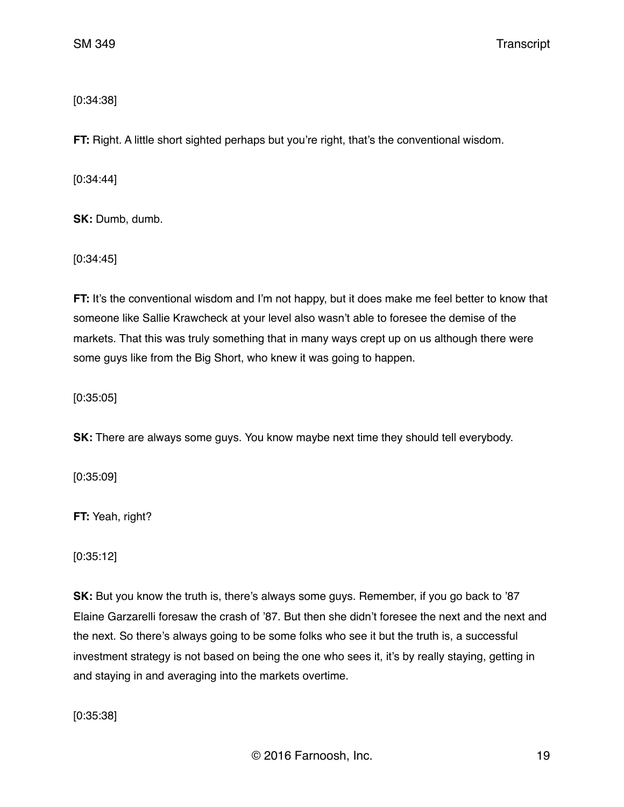[0:34:38]

**FT:** Right. A little short sighted perhaps but you're right, that's the conventional wisdom.

[0:34:44]

**SK:** Dumb, dumb.

[0:34:45]

**FT:** It's the conventional wisdom and I'm not happy, but it does make me feel better to know that someone like Sallie Krawcheck at your level also wasn't able to foresee the demise of the markets. That this was truly something that in many ways crept up on us although there were some guys like from the Big Short, who knew it was going to happen.

[0:35:05]

**SK:** There are always some guys. You know maybe next time they should tell everybody.

[0:35:09]

**FT:** Yeah, right?

[0:35:12]

**SK:** But you know the truth is, there's always some guys. Remember, if you go back to '87 Elaine Garzarelli foresaw the crash of '87. But then she didn't foresee the next and the next and the next. So there's always going to be some folks who see it but the truth is, a successful investment strategy is not based on being the one who sees it, it's by really staying, getting in and staying in and averaging into the markets overtime.

[0:35:38]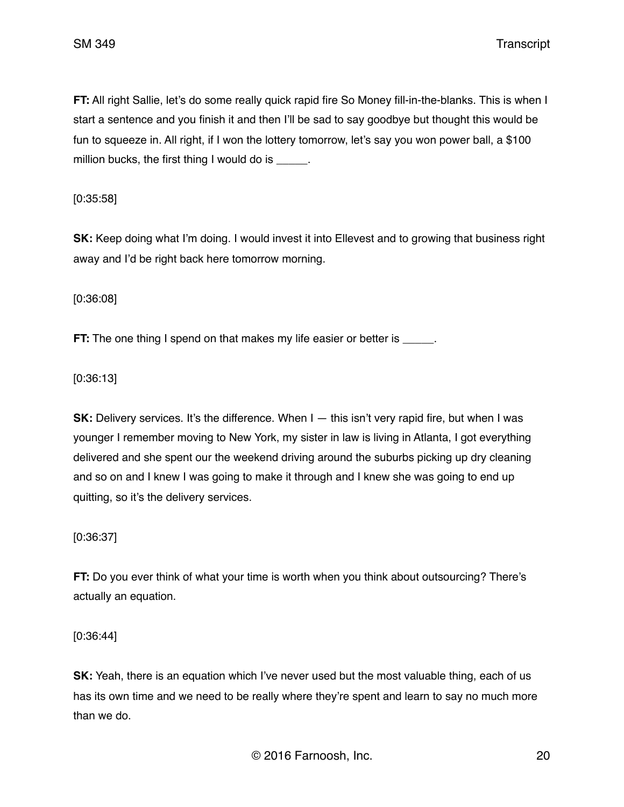SM 349 Transcript

**FT:** All right Sallie, let's do some really quick rapid fire So Money fill-in-the-blanks. This is when I start a sentence and you finish it and then I'll be sad to say goodbye but thought this would be fun to squeeze in. All right, if I won the lottery tomorrow, let's say you won power ball, a \$100 million bucks, the first thing I would do is  $\qquad \qquad$ .

[0:35:58]

**SK:** Keep doing what I'm doing. I would invest it into Ellevest and to growing that business right away and I'd be right back here tomorrow morning.

[0:36:08]

**FT:** The one thing I spend on that makes my life easier or better is

[0:36:13]

**SK:** Delivery services. It's the difference. When I — this isn't very rapid fire, but when I was younger I remember moving to New York, my sister in law is living in Atlanta, I got everything delivered and she spent our the weekend driving around the suburbs picking up dry cleaning and so on and I knew I was going to make it through and I knew she was going to end up quitting, so it's the delivery services.

[0:36:37]

**FT:** Do you ever think of what your time is worth when you think about outsourcing? There's actually an equation.

[0:36:44]

**SK:** Yeah, there is an equation which I've never used but the most valuable thing, each of us has its own time and we need to be really where they're spent and learn to say no much more than we do.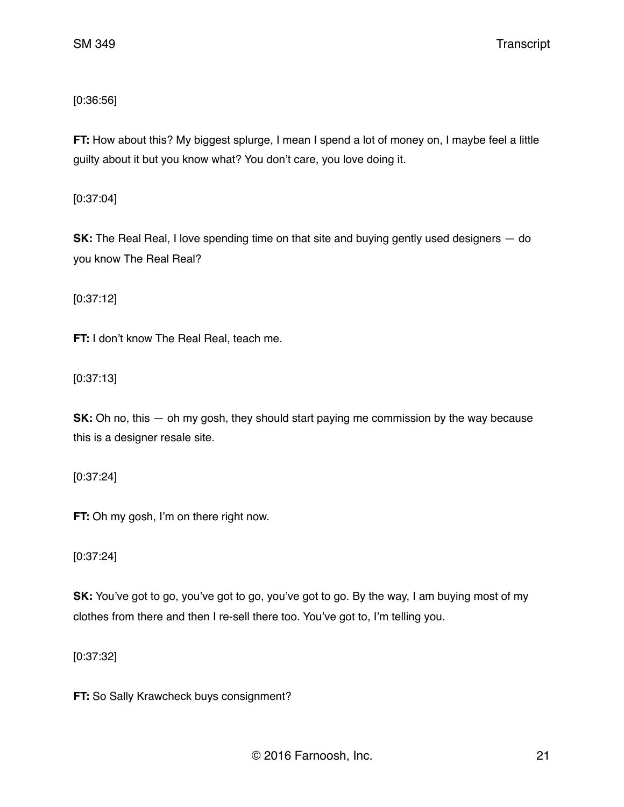# [0:36:56]

**FT:** How about this? My biggest splurge, I mean I spend a lot of money on, I maybe feel a little guilty about it but you know what? You don't care, you love doing it.

[0:37:04]

**SK:** The Real Real, I love spending time on that site and buying gently used designers – do you know The Real Real?

[0:37:12]

**FT:** I don't know The Real Real, teach me.

[0:37:13]

**SK:** Oh no, this — oh my gosh, they should start paying me commission by the way because this is a designer resale site.

[0:37:24]

**FT:** Oh my gosh, I'm on there right now.

[0:37:24]

**SK:** You've got to go, you've got to go, you've got to go. By the way, I am buying most of my clothes from there and then I re-sell there too. You've got to, I'm telling you.

[0:37:32]

**FT:** So Sally Krawcheck buys consignment?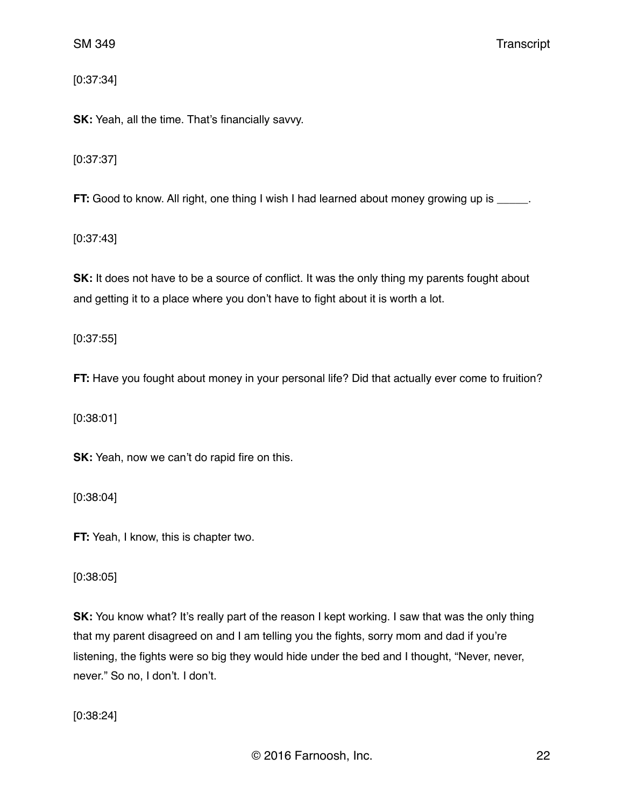[0:37:34]

**SK:** Yeah, all the time. That's financially savvy.

[0:37:37]

**FT:** Good to know. All right, one thing I wish I had learned about money growing up is \_\_\_\_\_.

[0:37:43]

**SK:** It does not have to be a source of conflict. It was the only thing my parents fought about and getting it to a place where you don't have to fight about it is worth a lot.

[0:37:55]

**FT:** Have you fought about money in your personal life? Did that actually ever come to fruition?

[0:38:01]

**SK:** Yeah, now we can't do rapid fire on this.

[0:38:04]

**FT:** Yeah, I know, this is chapter two.

[0:38:05]

**SK:** You know what? It's really part of the reason I kept working. I saw that was the only thing that my parent disagreed on and I am telling you the fights, sorry mom and dad if you're listening, the fights were so big they would hide under the bed and I thought, "Never, never, never." So no, I don't. I don't.

[0:38:24]